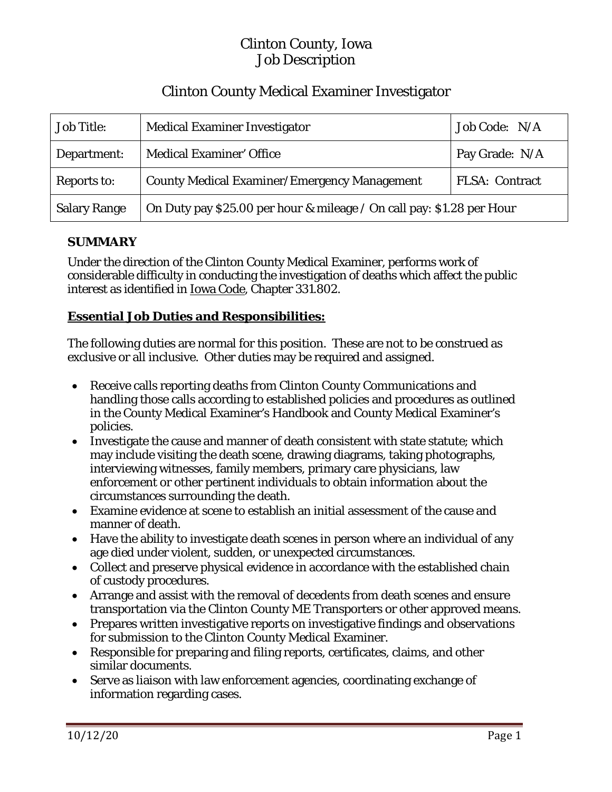# Clinton County, Iowa Job Description

# Clinton County Medical Examiner Investigator

| <b>Job Title:</b>   | <b>Medical Examiner Investigator</b>                                  | Job Code: N/A         |
|---------------------|-----------------------------------------------------------------------|-----------------------|
| Department:         | <b>Medical Examiner' Office</b>                                       | Pay Grade: N/A        |
| Reports to:         | <b>County Medical Examiner/Emergency Management</b>                   | <b>FLSA: Contract</b> |
| <b>Salary Range</b> | On Duty pay \$25.00 per hour & mileage / On call pay: \$1.28 per Hour |                       |

# **SUMMARY**

Under the direction of the Clinton County Medical Examiner, performs work of considerable difficulty in conducting the investigation of deaths which affect the public interest as identified in Iowa Code, Chapter 331.802.

### **Essential Job Duties and Responsibilities:**

The following duties are normal for this position. These are not to be construed as exclusive or all inclusive. Other duties may be required and assigned.

- Receive calls reporting deaths from Clinton County Communications and handling those calls according to established policies and procedures as outlined in the County Medical Examiner's Handbook and County Medical Examiner's policies.
- Investigate the cause and manner of death consistent with state statute; which may include visiting the death scene, drawing diagrams, taking photographs, interviewing witnesses, family members, primary care physicians, law enforcement or other pertinent individuals to obtain information about the circumstances surrounding the death.
- Examine evidence at scene to establish an initial assessment of the cause and manner of death.
- Have the ability to investigate death scenes in person where an individual of any age died under violent, sudden, or unexpected circumstances.
- Collect and preserve physical evidence in accordance with the established chain of custody procedures.
- Arrange and assist with the removal of decedents from death scenes and ensure transportation via the Clinton County ME Transporters or other approved means.
- Prepares written investigative reports on investigative findings and observations for submission to the Clinton County Medical Examiner.
- Responsible for preparing and filing reports, certificates, claims, and other similar documents.
- Serve as liaison with law enforcement agencies, coordinating exchange of information regarding cases.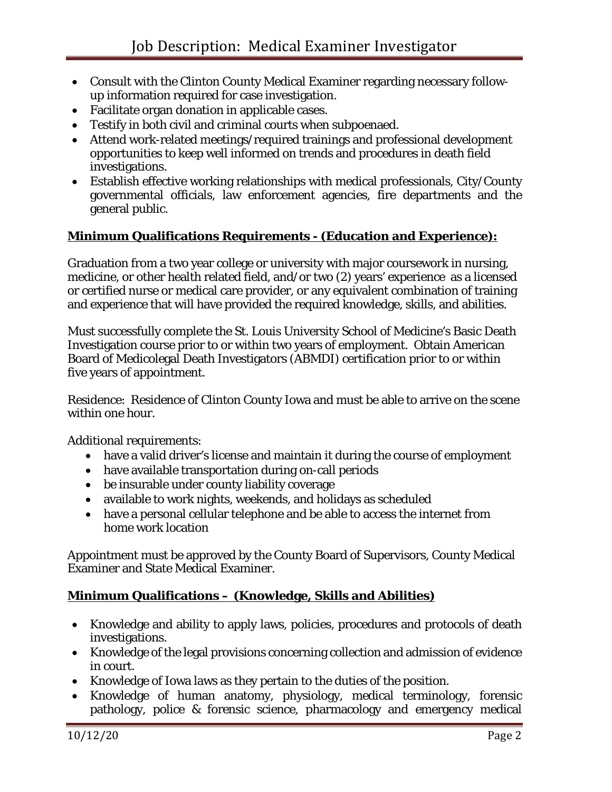- Consult with the Clinton County Medical Examiner regarding necessary followup information required for case investigation.
- Facilitate organ donation in applicable cases.
- Testify in both civil and criminal courts when subpoenaed.
- Attend work-related meetings/required trainings and professional development opportunities to keep well informed on trends and procedures in death field investigations.
- Establish effective working relationships with medical professionals, City/County governmental officials, law enforcement agencies, fire departments and the general public.

#### **Minimum Qualifications Requirements - (Education and Experience):**

Graduation from a two year college or university with major coursework in nursing, medicine, or other health related field, and/or two (2) years' experience as a licensed or certified nurse or medical care provider, or any equivalent combination of training and experience that will have provided the required knowledge, skills, and abilities.

Must successfully complete the St. Louis University School of Medicine's Basic Death Investigation course prior to or within two years of employment. Obtain American Board of Medicolegal Death Investigators (ABMDI) certification prior to or within five years of appointment.

Residence: Residence of Clinton County Iowa and must be able to arrive on the scene within one hour.

Additional requirements:

- have a valid driver's license and maintain it during the course of employment
- have available transportation during on-call periods
- be insurable under county liability coverage
- available to work nights, weekends, and holidays as scheduled
- have a personal cellular telephone and be able to access the internet from home work location

Appointment must be approved by the County Board of Supervisors, County Medical Examiner and State Medical Examiner.

### **Minimum Qualifications – (Knowledge, Skills and Abilities)**

- Knowledge and ability to apply laws, policies, procedures and protocols of death investigations.
- Knowledge of the legal provisions concerning collection and admission of evidence in court.
- Knowledge of Iowa laws as they pertain to the duties of the position.
- Knowledge of human anatomy, physiology, medical terminology, forensic pathology, police & forensic science, pharmacology and emergency medical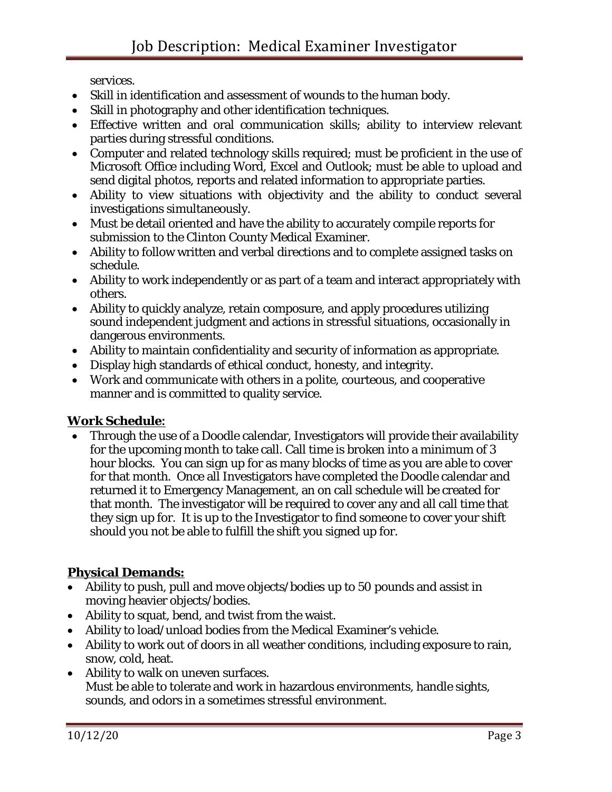services.

- Skill in identification and assessment of wounds to the human body.
- Skill in photography and other identification techniques.
- Effective written and oral communication skills; ability to interview relevant parties during stressful conditions.
- Computer and related technology skills required; must be proficient in the use of Microsoft Office including Word, Excel and Outlook; must be able to upload and send digital photos, reports and related information to appropriate parties.
- Ability to view situations with objectivity and the ability to conduct several investigations simultaneously.
- Must be detail oriented and have the ability to accurately compile reports for submission to the Clinton County Medical Examiner.
- Ability to follow written and verbal directions and to complete assigned tasks on schedule.
- Ability to work independently or as part of a team and interact appropriately with others.
- Ability to quickly analyze, retain composure, and apply procedures utilizing sound independent judgment and actions in stressful situations, occasionally in dangerous environments.
- Ability to maintain confidentiality and security of information as appropriate.
- Display high standards of ethical conduct, honesty, and integrity.
- Work and communicate with others in a polite, courteous, and cooperative manner and is committed to quality service.

### **Work Schedule:**

• Through the use of a Doodle calendar, Investigators will provide their availability for the upcoming month to take call. Call time is broken into a minimum of 3 hour blocks. You can sign up for as many blocks of time as you are able to cover for that month. Once all Investigators have completed the Doodle calendar and returned it to Emergency Management, an on call schedule will be created for that month. The investigator will be required to cover any and all call time that they sign up for. It is up to the Investigator to find someone to cover your shift should you not be able to fulfill the shift you signed up for.

# **Physical Demands:**

- Ability to push, pull and move objects/bodies up to 50 pounds and assist in moving heavier objects/bodies.
- Ability to squat, bend, and twist from the waist.
- Ability to load/unload bodies from the Medical Examiner's vehicle.
- Ability to work out of doors in all weather conditions, including exposure to rain, snow, cold, heat.
- Ability to walk on uneven surfaces. Must be able to tolerate and work in hazardous environments, handle sights, sounds, and odors in a sometimes stressful environment.